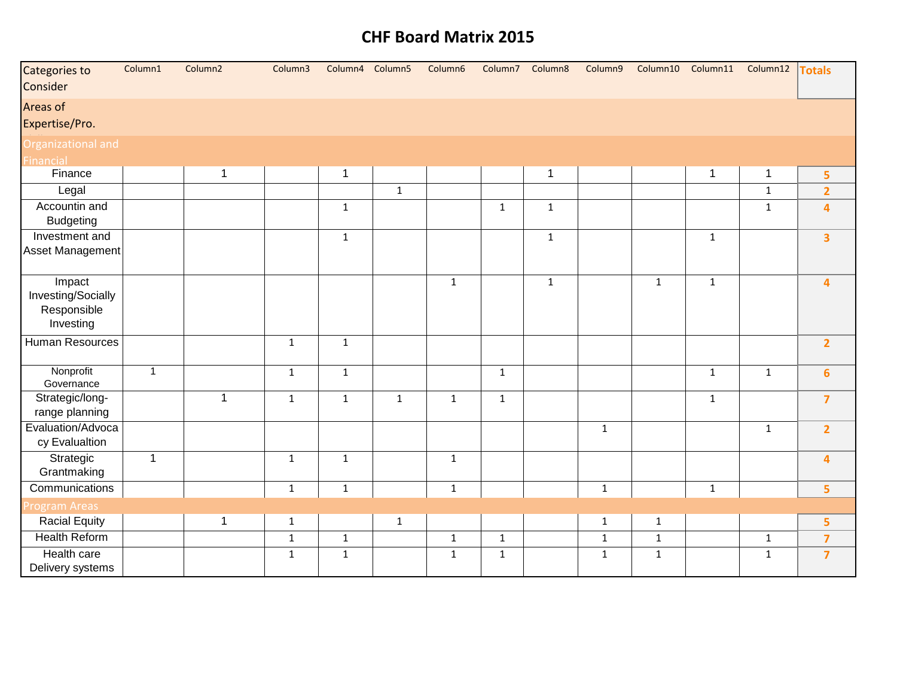| Categories to<br>Consider                                | Column1        | Column <sub>2</sub> | Column3      | Column4 Column5 |              | Column6      | Column7      | Column8      | Column9      | Column10     | Column11       | Column12     | <b>Totals</b>           |
|----------------------------------------------------------|----------------|---------------------|--------------|-----------------|--------------|--------------|--------------|--------------|--------------|--------------|----------------|--------------|-------------------------|
| Areas of<br>Expertise/Pro.                               |                |                     |              |                 |              |              |              |              |              |              |                |              |                         |
| <b>Organizational and</b>                                |                |                     |              |                 |              |              |              |              |              |              |                |              |                         |
| Financial                                                |                |                     |              |                 |              |              |              |              |              |              |                |              |                         |
| Finance                                                  |                | $\mathbf 1$         |              | $\mathbf{1}$    |              |              |              | $\mathbf{1}$ |              |              | $\overline{1}$ | $\mathbf{1}$ | 5                       |
| Legal                                                    |                |                     |              |                 | $\mathbf{1}$ |              |              |              |              |              |                | $\mathbf{1}$ | $\overline{2}$          |
| Accountin and<br><b>Budgeting</b>                        |                |                     |              | $\mathbf{1}$    |              |              | $\mathbf 1$  | $\mathbf{1}$ |              |              |                | $\mathbf 1$  | $\overline{\mathbf{4}}$ |
| Investment and<br><b>Asset Management</b>                |                |                     |              | $\mathbf{1}$    |              |              |              | $\mathbf{1}$ |              |              | $\mathbf{1}$   |              | $\overline{\mathbf{3}}$ |
| Impact<br>Investing/Socially<br>Responsible<br>Investing |                |                     |              |                 |              | $\mathbf 1$  |              | $\mathbf{1}$ |              | $\mathbf{1}$ | $\mathbf{1}$   |              | $\overline{\mathbf{4}}$ |
| Human Resources                                          |                |                     | $\mathbf{1}$ | $\mathbf{1}$    |              |              |              |              |              |              |                |              | $\overline{2}$          |
| Nonprofit<br>Governance                                  | $\overline{1}$ |                     | $\mathbf 1$  | $\mathbf 1$     |              |              | $\mathbf 1$  |              |              |              | $\mathbf{1}$   | $\mathbf{1}$ | $6\phantom{a}$          |
| Strategic/long-<br>range planning                        |                | $\mathbf{1}$        | $\mathbf{1}$ | $\mathbf{1}$    | $\mathbf{1}$ | $\mathbf{1}$ | $\mathbf{1}$ |              |              |              | $\mathbf{1}$   |              | $\overline{7}$          |
| Evaluation/Advoca<br>cy Evalualtion                      |                |                     |              |                 |              |              |              |              | $\mathbf 1$  |              |                | $\mathbf{1}$ | $\overline{2}$          |
| Strategic<br>Grantmaking                                 | $\mathbf{1}$   |                     | $\mathbf 1$  | $\mathbf{1}$    |              | $\mathbf 1$  |              |              |              |              |                |              | $\overline{\mathbf{4}}$ |
| Communications                                           |                |                     | $\mathbf 1$  | $\mathbf 1$     |              | $\mathbf 1$  |              |              | $\mathbf 1$  |              | $\mathbf{1}$   |              | 5 <sub>5</sub>          |
| <b>Program Areas</b>                                     |                |                     |              |                 |              |              |              |              |              |              |                |              |                         |
| <b>Racial Equity</b>                                     |                | $\mathbf 1$         | $\mathbf 1$  |                 | $\mathbf 1$  |              |              |              | $\mathbf{1}$ | $\mathbf 1$  |                |              | 5                       |
| <b>Health Reform</b>                                     |                |                     | $\mathbf{1}$ | $\mathbf{1}$    |              | $\mathbf 1$  | $\mathbf{1}$ |              | $\mathbf{1}$ | $\mathbf{1}$ |                | $\mathbf{1}$ | $\overline{7}$          |
| Health care<br>Delivery systems                          |                |                     | $\mathbf{1}$ | $\mathbf{1}$    |              | $\mathbf 1$  | $\mathbf{1}$ |              | $\mathbf{1}$ | $\mathbf 1$  |                | $\mathbf{1}$ | $\overline{7}$          |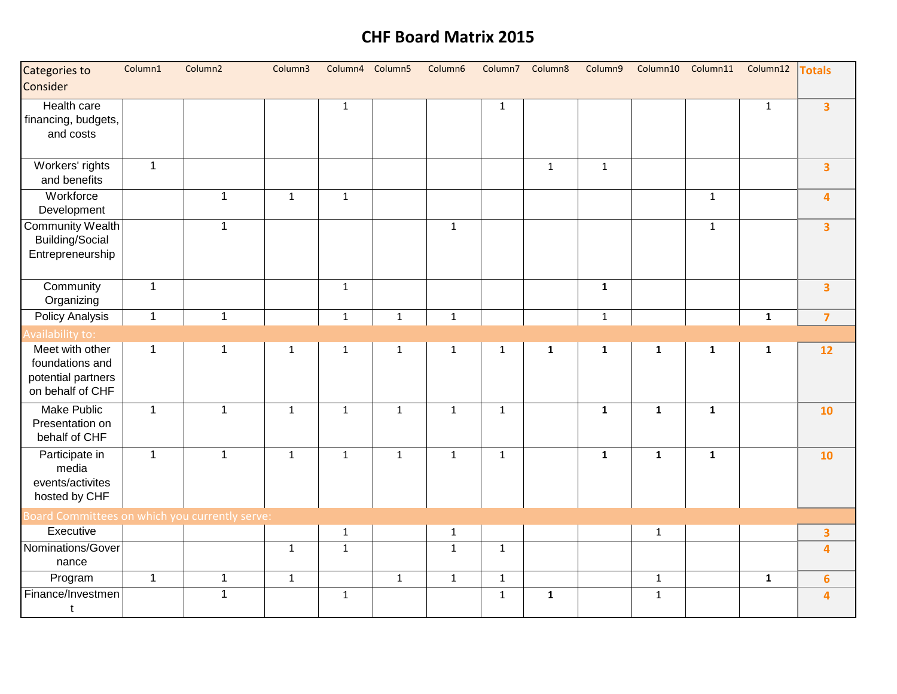| Categories to<br>Consider                                                    | Column1      | Column <sub>2</sub> | Column3      | Column4 Column5 |              | Column6      | Column7      | Column8      | Column9      | Column10     |              | Column11 Column12 | <b>Totals</b>           |
|------------------------------------------------------------------------------|--------------|---------------------|--------------|-----------------|--------------|--------------|--------------|--------------|--------------|--------------|--------------|-------------------|-------------------------|
| Health care<br>financing, budgets,<br>and costs                              |              |                     |              | $\mathbf{1}$    |              |              | $\mathbf{1}$ |              |              |              |              | $\mathbf{1}$      | $\overline{\mathbf{3}}$ |
| Workers' rights<br>and benefits                                              | $\mathbf{1}$ |                     |              |                 |              |              |              | $\mathbf{1}$ | $\mathbf 1$  |              |              |                   | $\overline{\mathbf{3}}$ |
| Workforce<br>Development                                                     |              | $\mathbf{1}$        | $\mathbf{1}$ | $\mathbf{1}$    |              |              |              |              |              |              | $\mathbf{1}$ |                   | 4                       |
| <b>Community Wealth</b><br><b>Building/Social</b><br>Entrepreneurship        |              | $\mathbf{1}$        |              |                 |              | $\mathbf{1}$ |              |              |              |              | $\mathbf{1}$ |                   | $\overline{\mathbf{3}}$ |
| Community<br>Organizing                                                      | $\mathbf{1}$ |                     |              | $\mathbf{1}$    |              |              |              |              | $\mathbf{1}$ |              |              |                   | $\overline{\mathbf{3}}$ |
| <b>Policy Analysis</b>                                                       | $\mathbf{1}$ | $\mathbf{1}$        |              | $\mathbf 1$     | $\mathbf{1}$ | $\mathbf{1}$ |              |              | $\mathbf 1$  |              |              | $\mathbf{1}$      | $\overline{7}$          |
| Availability to:                                                             |              |                     |              |                 |              |              |              |              |              |              |              |                   |                         |
| Meet with other<br>foundations and<br>potential partners<br>on behalf of CHF | 1            | 1                   | $\mathbf 1$  | $\mathbf{1}$    | $\mathbf{1}$ | $\mathbf 1$  | $\mathbf{1}$ | $\mathbf{1}$ | $\mathbf{1}$ | $\mathbf{1}$ | $\mathbf{1}$ | $\mathbf{1}$      | 12                      |
| <b>Make Public</b><br>Presentation on<br>behalf of CHF                       | $\mathbf{1}$ | $\mathbf{1}$        | $\mathbf{1}$ | $\mathbf{1}$    | $\mathbf{1}$ | $\mathbf{1}$ | $\mathbf{1}$ |              | $\mathbf{1}$ | $\mathbf{1}$ | $\mathbf{1}$ |                   | 10                      |
| Participate in<br>media<br>events/activites<br>hosted by CHF                 | $\mathbf{1}$ | $\mathbf{1}$        | $\mathbf{1}$ | $\mathbf{1}$    | $\mathbf{1}$ | $\mathbf{1}$ | $\mathbf{1}$ |              | $\mathbf{1}$ | $\mathbf{1}$ | $\mathbf{1}$ |                   | 10                      |
| Board Committees on which you currently serve:                               |              |                     |              |                 |              |              |              |              |              |              |              |                   |                         |
| Executive                                                                    |              |                     |              | $\mathbf 1$     |              | $1\,$        |              |              |              | $1\,$        |              |                   | $\overline{\mathbf{3}}$ |
| Nominations/Gover<br>nance                                                   |              |                     | $\mathbf{1}$ | $\mathbf{1}$    |              | $\mathbf{1}$ | $\mathbf{1}$ |              |              |              |              |                   | $\overline{\mathbf{4}}$ |
| Program                                                                      | $\mathbf{1}$ | $\mathbf{1}$        | $\mathbf 1$  |                 | $\mathbf{1}$ | $1\,$        | $\mathbf 1$  |              |              | $\mathbf{1}$ |              | $\mathbf{1}$      | $6\phantom{a}$          |
| Finance/Investmen<br>t                                                       |              | $\mathbf{1}$        |              | $\mathbf{1}$    |              |              | $\mathbf{1}$ | $\mathbf{1}$ |              | $\mathbf{1}$ |              |                   | 4                       |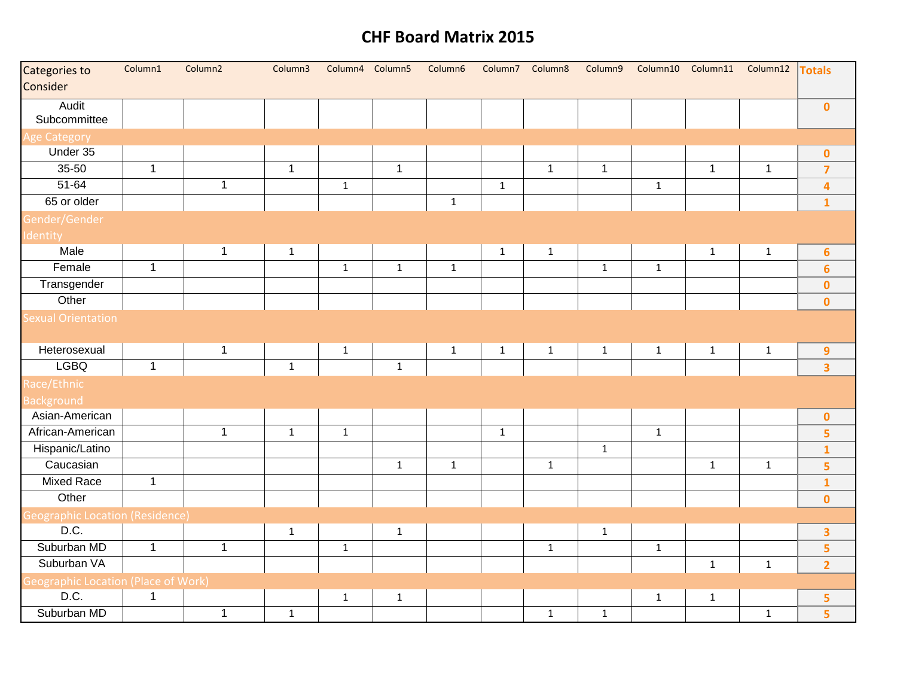| Categories to<br>Consider                  | Column1      | Column <sub>2</sub> | Column3      | Column4 Column5 |              | Column6      | Column7      | Column8      | Column9      | Column10     |              | Column11 Column12 Totals |                         |
|--------------------------------------------|--------------|---------------------|--------------|-----------------|--------------|--------------|--------------|--------------|--------------|--------------|--------------|--------------------------|-------------------------|
| Audit<br>Subcommittee                      |              |                     |              |                 |              |              |              |              |              |              |              |                          | $\mathbf{0}$            |
| <b>Age Category</b>                        |              |                     |              |                 |              |              |              |              |              |              |              |                          |                         |
| Under 35                                   |              |                     |              |                 |              |              |              |              |              |              |              |                          | $\pmb{0}$               |
| 35-50                                      | $\mathbf{1}$ |                     | $\mathbf{1}$ |                 | $\mathbf{1}$ |              |              | $\mathbf{1}$ | $\mathbf{1}$ |              | $\mathbf{1}$ | $\mathbf{1}$             | $\overline{7}$          |
| $51 - 64$                                  |              | $\mathbf{1}$        |              | $\mathbf{1}$    |              |              | $\mathbf 1$  |              |              | $\mathbf 1$  |              |                          | $\overline{\mathbf{4}}$ |
| 65 or older                                |              |                     |              |                 |              | $\,1\,$      |              |              |              |              |              |                          | $\mathbf{1}$            |
| Gender/Gender                              |              |                     |              |                 |              |              |              |              |              |              |              |                          |                         |
| Identity                                   |              |                     |              |                 |              |              |              |              |              |              |              |                          |                         |
| Male                                       |              | $\mathbf{1}$        | $\mathbf{1}$ |                 |              |              | $\mathbf{1}$ | $\mathbf{1}$ |              |              | $\mathbf{1}$ | $\mathbf{1}$             | $6\phantom{a}$          |
| Female                                     | $\mathbf{1}$ |                     |              | $\mathbf{1}$    | $\mathbf{1}$ | $\mathbf{1}$ |              |              | $\mathbf{1}$ | $\mathbf 1$  |              |                          | $6\phantom{a}$          |
| Transgender                                |              |                     |              |                 |              |              |              |              |              |              |              |                          | $\mathbf{0}$            |
| Other                                      |              |                     |              |                 |              |              |              |              |              |              |              |                          | $\mathbf 0$             |
| <b>Sexual Orientation</b>                  |              |                     |              |                 |              |              |              |              |              |              |              |                          |                         |
| Heterosexual                               |              | $\mathbf{1}$        |              | $\mathbf{1}$    |              | $\mathbf{1}$ | $\mathbf{1}$ | $\mathbf{1}$ | $\mathbf{1}$ | $\mathbf{1}$ | $\mathbf{1}$ | $\mathbf{1}$             | $\overline{9}$          |
| <b>LGBQ</b>                                | $\mathbf{1}$ |                     | $\mathbf{1}$ |                 | $\mathbf{1}$ |              |              |              |              |              |              |                          | $\overline{\mathbf{3}}$ |
| Race/Ethnic                                |              |                     |              |                 |              |              |              |              |              |              |              |                          |                         |
| <b>Background</b>                          |              |                     |              |                 |              |              |              |              |              |              |              |                          |                         |
| Asian-American                             |              |                     |              |                 |              |              |              |              |              |              |              |                          | $\mathbf{0}$            |
| African-American                           |              | $\mathbf{1}$        | $\mathbf 1$  | $\mathbf{1}$    |              |              | $\mathbf 1$  |              |              | $\mathbf{1}$ |              |                          | $\overline{\mathbf{5}}$ |
| Hispanic/Latino                            |              |                     |              |                 |              |              |              |              | $\mathbf{1}$ |              |              |                          | $\mathbf{1}$            |
| Caucasian                                  |              |                     |              |                 | $\mathbf{1}$ | $\mathbf 1$  |              | $\mathbf 1$  |              |              | $\mathbf 1$  | $\mathbf 1$              | $\overline{\mathbf{5}}$ |
| <b>Mixed Race</b>                          | $\mathbf{1}$ |                     |              |                 |              |              |              |              |              |              |              |                          | $\mathbf{1}$            |
| Other                                      |              |                     |              |                 |              |              |              |              |              |              |              |                          | $\mathbf 0$             |
| <b>Geographic Location (Residence)</b>     |              |                     |              |                 |              |              |              |              |              |              |              |                          |                         |
| D.C.                                       |              |                     | $\mathbf{1}$ |                 | $\mathbf{1}$ |              |              |              | $\mathbf{1}$ |              |              |                          | $\overline{\mathbf{3}}$ |
| Suburban MD                                | $\mathbf{1}$ | $\mathbf 1$         |              | $\mathbf{1}$    |              |              |              | $\mathbf 1$  |              | $\mathbf 1$  |              |                          | $\overline{\mathbf{5}}$ |
| Suburban VA                                |              |                     |              |                 |              |              |              |              |              |              | $\mathbf{1}$ | $\mathbf{1}$             | $\overline{2}$          |
| <b>Geographic Location (Place of Work)</b> |              |                     |              |                 |              |              |              |              |              |              |              |                          |                         |
| D.C.                                       | $\mathbf{1}$ |                     |              | $\mathbf{1}$    | $\mathbf{1}$ |              |              |              |              | $\mathbf{1}$ | $\mathbf 1$  |                          | 5                       |
| Suburban MD                                |              | $\mathbf{1}$        | $\mathbf{1}$ |                 |              |              |              | $\mathbf{1}$ | $\mathbf 1$  |              |              | $\mathbf{1}$             | $\overline{\mathbf{5}}$ |